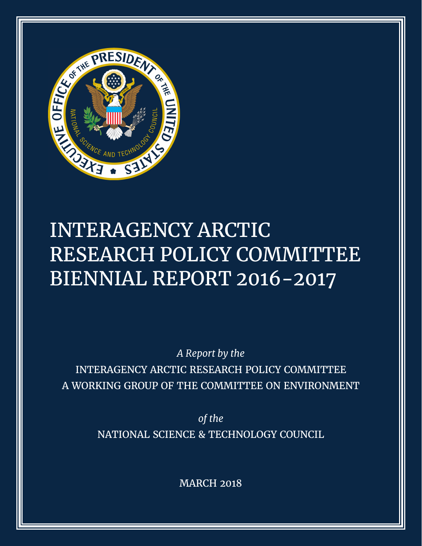

# INTERAGENCY ARCTIC RESEARCH POLICY COMMITTEE BIENNIAL REPORT 2016-2017

*A Report by the* INTERAGENCY ARCTIC RESEARCH POLICY COMMITTEE A WORKING GROUP OF THE COMMITTEE ON ENVIRONMENT

> *of the* NATIONAL SCIENCE & TECHNOLOGY COUNCIL

> > MARCH 2018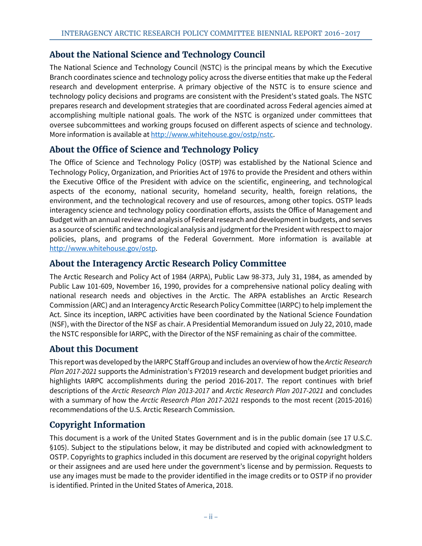# **About the National Science and Technology Council**

The National Science and Technology Council (NSTC) is the principal means by which the Executive Branch coordinates science and technology policy across the diverse entities that make up the Federal research and development enterprise. A primary objective of the NSTC is to ensure science and technology policy decisions and programs are consistent with the President's stated goals. The NSTC prepares research and development strategies that are coordinated across Federal agencies aimed at accomplishing multiple national goals. The work of the NSTC is organized under committees that oversee subcommittees and working groups focused on different aspects of science and technology. More information is available at [http://www.whitehouse.gov/ostp/nstc.](http://www.whitehouse.gov/ostp/nstc)

# **About the Office of Science and Technology Policy**

The Office of Science and Technology Policy (OSTP) was established by the National Science and Technology Policy, Organization, and Priorities Act of 1976 to provide the President and others within the Executive Office of the President with advice on the scientific, engineering, and technological aspects of the economy, national security, homeland security, health, foreign relations, the environment, and the technological recovery and use of resources, among other topics. OSTP leads interagency science and technology policy coordination efforts, assists the Office of Management and Budget with an annual review and analysis of Federal research and development in budgets, and serves as a source of scientific and technological analysis and judgment for the President with respect to major policies, plans, and programs of the Federal Government. More information is available at [http://www.whitehouse.gov/ostp.](http://www.whitehouse.gov/ostp)

# **About the Interagency Arctic Research Policy Committee**

The Arctic Research and Policy Act of 1984 (ARPA), Public Law 98-373, July 31, 1984, as amended by Public Law 101-609, November 16, 1990, provides for a comprehensive national policy dealing with national research needs and objectives in the Arctic. The ARPA establishes an Arctic Research Commission (ARC) and an Interagency Arctic Research Policy Committee (IARPC) to help implement the Act. Since its inception, IARPC activities have been coordinated by the National Science Foundation (NSF), with the Director of the NSF as chair. A Presidential Memorandum issued on July 22, 2010, made the NSTC responsible for IARPC, with the Director of the NSF remaining as chair of the committee.

# **About this Document**

This report was developed by the IARPC Staff Group and includes an overview of how the *Arctic Research Plan 2017-2021* supports the Administration's FY2019 research and development budget priorities and highlights IARPC accomplishments during the period 2016-2017. The report continues with brief descriptions of the *Arctic Research Plan 2013-2017* and *Arctic Research Plan 2017-2021* and concludes with a summary of how the *Arctic Research Plan 2017-2021* responds to the most recent (2015-2016) recommendations of the U.S. Arctic Research Commission.

# **Copyright Information**

This document is a work of the United States Government and is in the public domain (see 17 U.S.C. §105). Subject to the stipulations below, it may be distributed and copied with acknowledgment to OSTP. Copyrights to graphics included in this document are reserved by the original copyright holders or their assignees and are used here under the government's license and by permission. Requests to use any images must be made to the provider identified in the image credits or to OSTP if no provider is identified. Printed in the United States of America, 2018.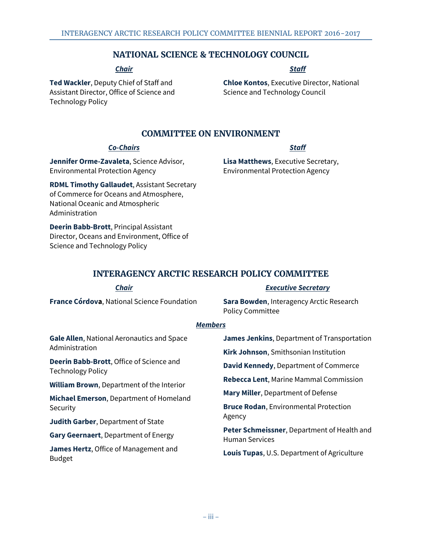### **NATIONAL SCIENCE & TECHNOLOGY COUNCIL**

### *Chair*

**Ted Wackler**, Deputy Chief of Staff and Assistant Director, Office of Science and Technology Policy

### *Staff*

**Chloe Kontos**, Executive Director, National Science and Technology Council

## **COMMITTEE ON ENVIRONMENT**

### *Co-Chairs*

**Jennifer Orme-Zavaleta**, Science Advisor, Environmental Protection Agency

**RDML Timothy Gallaudet**, Assistant Secretary of Commerce for Oceans and Atmosphere, National Oceanic and Atmospheric Administration

**Deerin Babb-Brott**, Principal Assistant Director, Oceans and Environment, Office of Science and Technology Policy

### *Staff*

**Lisa Matthews**, Executive Secretary, Environmental Protection Agency

# **INTERAGENCY ARCTIC RESEARCH POLICY COMMITTEE**

#### *Chair* **France Córdova**, National Science Foundation *Executive Secretary* **Sara Bowden**, Interagency Arctic Research Policy Committee *Members* **Gale Allen**, National Aeronautics and Space Administration **Deerin Babb-Brott**, Office of Science and Technology Policy **William Brown**, Department of the Interior **Michael Emerson**, Department of Homeland **Security Judith Garber**, Department of State **Gary Geernaert**, Department of Energy **James Hertz**, Office of Management and Budget **James Jenkins**, Department of Transportation **Kirk Johnson**, Smithsonian Institution **David Kennedy**, Department of Commerce **Rebecca Lent**, Marine Mammal Commission **Mary Miller**, Department of Defense **Bruce Rodan**, Environmental Protection Agency **Peter Schmeissner**, Department of Health and Human Services **Louis Tupas**, U.S. Department of Agriculture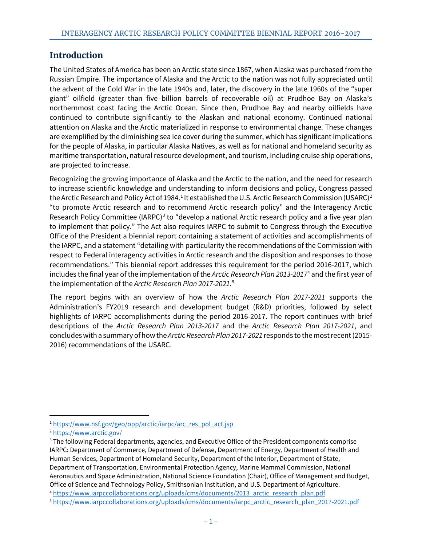# **Introduction**

The United States of America has been an Arctic state since 1867, when Alaska was purchased from the Russian Empire. The importance of Alaska and the Arctic to the nation was not fully appreciated until the advent of the Cold War in the late 1940s and, later, the discovery in the late 1960s of the "super giant" oilfield (greater than five billion barrels of recoverable oil) at Prudhoe Bay on Alaska's northernmost coast facing the Arctic Ocean. Since then, Prudhoe Bay and nearby oilfields have continued to contribute significantly to the Alaskan and national economy. Continued national attention on Alaska and the Arctic materialized in response to environmental change. These changes are exemplified by the diminishing sea ice cover during the summer, which has significant implications for the people of Alaska, in particular Alaska Natives, as well as for national and homeland security as maritime transportation, natural resource development, and tourism, including cruise ship operations, are projected to increase.

Recognizing the growing importance of Alaska and the Arctic to the nation, and the need for research to increase scientific knowledge and understanding to inform decisions and policy, Congress passed the Arctic Research and Policy Act of [1](#page-3-0)984. $^{\rm 1}$  It established the U.S. Arctic Research Commission (USARC) $^{\rm 2}$  $^{\rm 2}$  $^{\rm 2}$ "to promote Arctic research and to recommend Arctic research policy" and the Interagency Arctic Research Policy Committee (IARPC)<sup>[3](#page-3-2)</sup> to "develop a national Arctic research policy and a five year plan to implement that policy." The Act also requires IARPC to submit to Congress through the Executive Office of the President a biennial report containing a statement of activities and accomplishments of the IARPC, and a statement "detailing with particularity the recommendations of the Commission with respect to Federal interagency activities in Arctic research and the disposition and responses to those recommendations." This biennial report addresses this requirement for the period 2016-2017, which includes the final year of the implementation of the *Arctic Research Plan 2013-2017*[4](#page-3-3) and the first year of the implementation of the *Arctic Research Plan 2017-2021*. [5](#page-3-4)

<span id="page-3-5"></span>The report begins with an overview of how the *Arctic Research Plan 2017-2021* supports the Administration's FY2019 research and development budget (R&D) priorities, followed by select highlights of IARPC accomplishments during the period 2016-2017. The report continues with brief descriptions of the *Arctic Research Plan 2013-2017* and the *Arctic Research Plan 2017-2021*, and concludes with a summary of how the *Arctic Research Plan 2017-2021* responds to the most recent (2015- 2016) recommendations of the USARC.

<span id="page-3-0"></span> <sup>1</sup> [https://www.nsf.gov/geo/opp/arctic/iarpc/arc\\_res\\_pol\\_act.jsp](https://www.nsf.gov/geo/opp/arctic/iarpc/arc_res_pol_act.jsp)

<span id="page-3-1"></span><sup>2</sup> <https://www.arctic.gov/>

<span id="page-3-2"></span><sup>&</sup>lt;sup>3</sup> The following Federal departments, agencies, and Executive Office of the President components comprise IARPC: Department of Commerce, Department of Defense, Department of Energy, Department of Health and Human Services, Department of Homeland Security, Department of the Interior, Department of State, Department of Transportation, Environmental Protection Agency, Marine Mammal Commission, National Aeronautics and Space Administration, National Science Foundation (Chair), Office of Management and Budget, Office of Science and Technology Policy, Smithsonian Institution, and U.S. Department of Agriculture.

<span id="page-3-3"></span><sup>4</sup> [https://www.iarpccollaborations.org/uploads/cms/documents/2013\\_arctic\\_research\\_plan.pdf](https://www.iarpccollaborations.org/uploads/cms/documents/2013_arctic_research_plan.pdf)

<span id="page-3-4"></span><sup>5</sup> [https://www.iarpccollaborations.org/uploads/cms/documents/iarpc\\_arctic\\_research\\_plan\\_2017-2021.pdf](https://www.iarpccollaborations.org/uploads/cms/documents/iarpc_arctic_research_plan_2017-2021.pdf)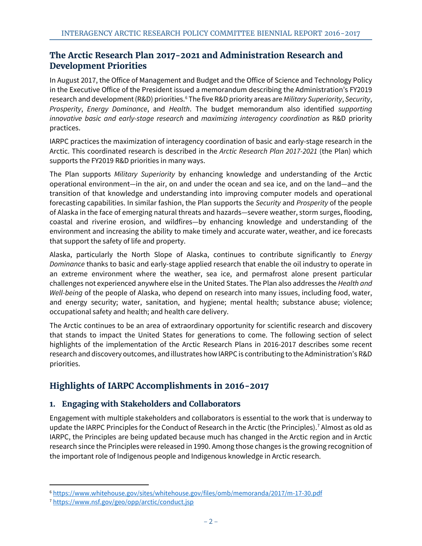# **The Arctic Research Plan 2017-2021 and Administration Research and Development Priorities**

In August 2017, the Office of Management and Budget and the Office of Science and Technology Policy in the Executive Office of the President issued a memorandum describing the Administration's FY2019 research and development (R&D) priorities.[6](#page-4-0) The five R&D priority areas are *Military Superiority*, *Security*, *Prosperity*, *Energy Dominance*, and *Health*. The budget memorandum also identified *supporting innovative basic and early-stage research* and *maximizing interagency coordination* as R&D priority practices.

IARPC practices the maximization of interagency coordination of basic and early-stage research in the Arctic. This coordinated research is described in the *Arctic Research Plan 2017-2021* (the Plan) which supports the FY2019 R&D priorities in many ways.

The Plan supports *Military Superiority* by enhancing knowledge and understanding of the Arctic operational environment—in the air, on and under the ocean and sea ice, and on the land—and the transition of that knowledge and understanding into improving computer models and operational forecasting capabilities. In similar fashion, the Plan supports the *Security* and *Prosperity* of the people of Alaska in the face of emerging natural threats and hazards—severe weather, storm surges, flooding, coastal and riverine erosion, and wildfires—by enhancing knowledge and understanding of the environment and increasing the ability to make timely and accurate water, weather, and ice forecasts that support the safety of life and property.

Alaska, particularly the North Slope of Alaska, continues to contribute significantly to *Energy Dominance* thanks to basic and early-stage applied research that enable the oil industry to operate in an extreme environment where the weather, sea ice, and permafrost alone present particular challenges not experienced anywhere else in the United States. The Plan also addresses the *Health and Well-being* of the people of Alaska, who depend on research into many issues, including food, water, and energy security; water, sanitation, and hygiene; mental health; substance abuse; violence; occupational safety and health; and health care delivery.

The Arctic continues to be an area of extraordinary opportunity for scientific research and discovery that stands to impact the United States for generations to come. The following section of select highlights of the implementation of the Arctic Research Plans in 2016-2017 describes some recent research and discovery outcomes, and illustrates how IARPC is contributing to the Administration's R&D priorities.

# **Highlights of IARPC Accomplishments in 2016-2017**

# **1. Engaging with Stakeholders and Collaborators**

Engagement with multiple stakeholders and collaborators is essential to the work that is underway to update the IARPC Principles for the Conduct of Research in the Arctic (the Principles).<sup>[7](#page-4-1)</sup> Almost as old as IARPC, the Principles are being updated because much has changed in the Arctic region and in Arctic research since the Principles were released in 1990. Among those changes is the growing recognition of the important role of Indigenous people and Indigenous knowledge in Arctic research.

<span id="page-4-0"></span> <sup>6</sup> <https://www.whitehouse.gov/sites/whitehouse.gov/files/omb/memoranda/2017/m-17-30.pdf>

<span id="page-4-1"></span><sup>7</sup> <https://www.nsf.gov/geo/opp/arctic/conduct.jsp>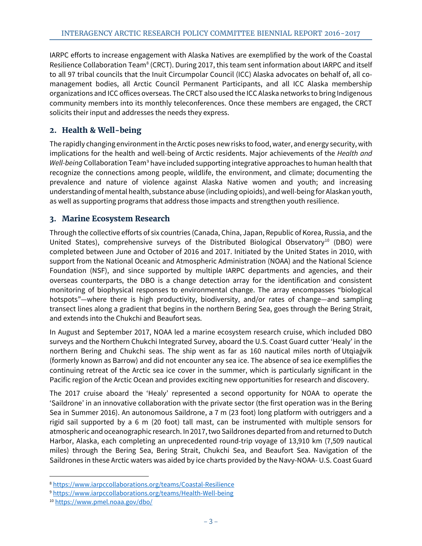IARPC efforts to increase engagement with Alaska Natives are exemplified by the work of the Coastal Resilience Collaboration Team<sup>[8](#page-5-0)</sup> (CRCT). During 2017, this team sent information about IARPC and itself to all 97 tribal councils that the Inuit Circumpolar Council (ICC) Alaska advocates on behalf of, all comanagement bodies, all Arctic Council Permanent Participants, and all ICC Alaska membership organizations and ICC offices overseas. The CRCT also used the ICC Alaska networks to bring Indigenous community members into its monthly teleconferences. Once these members are engaged, the CRCT solicits their input and addresses the needs they express.

# **2. Health & Well-being**

The rapidly changing environment in the Arctic poses new risks to food, water, and energy security, with implications for the health and well-being of Arctic residents. Major achievements of the *Health and Well-being* Collaboration Team[9](#page-5-1) have included supporting integrative approaches to human health that recognize the connections among people, wildlife, the environment, and climate; documenting the prevalence and nature of violence against Alaska Native women and youth; and increasing understanding of mental health, substance abuse (including opioids), and well-being for Alaskan youth, as well as supporting programs that address those impacts and strengthen youth resilience.

# **3. Marine Ecosystem Research**

Through the collective efforts of six countries (Canada, China, Japan, Republic of Korea, Russia, and the United States), comprehensive surveys of the Distributed Biological Observatory<sup>10</sup> (DBO) were completed between June and October of 2016 and 2017. Initiated by the United States in 2010, with support from the National Oceanic and Atmospheric Administration (NOAA) and the National Science Foundation (NSF), and since supported by multiple IARPC departments and agencies, and their overseas counterparts, the DBO is a change detection array for the identification and consistent monitoring of biophysical responses to environmental change. The array encompasses "biological hotspots"—where there is high productivity, biodiversity, and/or rates of change—and sampling transect lines along a gradient that begins in the northern Bering Sea, goes through the Bering Strait, and extends into the Chukchi and Beaufort seas.

In August and September 2017, NOAA led a marine ecosystem research cruise, which included DBO surveys and the Northern Chukchi Integrated Survey, aboard the U.S. Coast Guard cutter 'Healy' in the northern Bering and Chukchi seas. The ship went as far as 160 nautical miles north of Utqiaġvik (formerly known as Barrow) and did not encounter any sea ice. The absence of sea ice exemplifies the continuing retreat of the Arctic sea ice cover in the summer, which is particularly significant in the Pacific region of the Arctic Ocean and provides exciting new opportunities for research and discovery.

The 2017 cruise aboard the 'Healy' represented a second opportunity for NOAA to operate the 'Saildrone' in an innovative collaboration with the private sector (the first operation was in the Bering Sea in Summer 2016). An autonomous Saildrone, a 7 m (23 foot) long platform with outriggers and a rigid sail supported by a 6 m (20 foot) tall mast, can be instrumented with multiple sensors for atmospheric and oceanographic research. In 2017, two Saildrones departed from and returned to Dutch Harbor, Alaska, each completing an unprecedented round-trip voyage of 13,910 km (7,509 nautical miles) through the Bering Sea, Bering Strait, Chukchi Sea, and Beaufort Sea. Navigation of the Saildrones in these Arctic waters was aided by ice charts provided by the Navy-NOAA- U.S. Coast Guard

<span id="page-5-0"></span> <sup>8</sup> <https://www.iarpccollaborations.org/teams/Coastal-Resilience>

<span id="page-5-1"></span><sup>9</sup> <https://www.iarpccollaborations.org/teams/Health-Well-being>

<span id="page-5-2"></span><sup>10</sup> <https://www.pmel.noaa.gov/dbo/>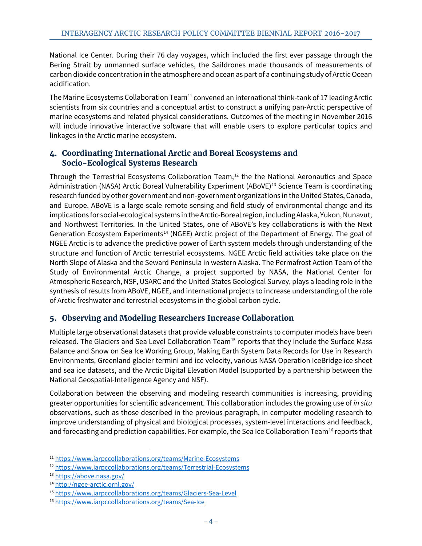National Ice Center. During their 76 day voyages, which included the first ever passage through the Bering Strait by unmanned surface vehicles, the Saildrones made thousands of measurements of carbon dioxide concentration in the atmosphere and ocean as part of a continuing study of Arctic Ocean acidification.

The Marine Ecosystems Collaboration Team<sup>[11](#page-6-0)</sup> convened an international think-tank of 17 leading Arctic scientists from six countries and a conceptual artist to construct a unifying pan-Arctic perspective of marine ecosystems and related physical considerations. Outcomes of the meeting in November 2016 will include innovative interactive software that will enable users to explore particular topics and linkages in the Arctic marine ecosystem.

### **4. Coordinating International Arctic and Boreal Ecosystems and Socio-Ecological Systems Research**

Through the Terrestrial Ecosystems Collaboration Team, [12](#page-6-1) the the National Aeronautics and Space Administration (NASA) Arctic Boreal Vulnerability Experiment (ABoVE)<sup>[13](#page-6-2)</sup> Science Team is coordinating research funded by other government and non-government organizations in the United States, Canada, and Europe. ABoVE is a large-scale remote sensing and field study of environmental change and its implications for social-ecological systems in the Arctic-Boreal region, including Alaska, Yukon, Nunavut, and Northwest Territories. In the United States, one of ABoVE's key collaborations is with the Next Generation Ecosystem Experiments<sup>14</sup> (NGEE) Arctic project of the Department of Energy. The goal of NGEE Arctic is to advance the predictive power of Earth system models through understanding of the structure and function of Arctic terrestrial ecosystems. NGEE Arctic field activities take place on the North Slope of Alaska and the Seward Peninsula in western Alaska. The Permafrost Action Team of the Study of Environmental Arctic Change, a project supported by NASA, the National Center for Atmospheric Research, NSF, USARC and the United States Geological Survey, plays a leading role in the synthesis of results from ABoVE, NGEE, and international projects to increase understanding of the role of Arctic freshwater and terrestrial ecosystems in the global carbon cycle.

# **5. Observing and Modeling Researchers Increase Collaboration**

Multiple large observational datasets that provide valuable constraints to computer models have been released. The Glaciers and Sea Level Collaboration Team<sup>[15](#page-6-4)</sup> reports that they include the Surface Mass Balance and Snow on Sea Ice Working Group, Making Earth System Data Records for Use in Research Environments, Greenland glacier termini and ice velocity, various NASA Operation IceBridge ice sheet and sea ice datasets, and the Arctic Digital Elevation Model (supported by a partnership between the National Geospatial-Intelligence Agency and NSF).

Collaboration between the observing and modeling research communities is increasing, providing greater opportunities for scientific advancement. This collaboration includes the growing use of *in situ* observations, such as those described in the previous paragraph, in computer modeling research to improve understanding of physical and biological processes, system-level interactions and feedback, and forecasting and prediction capabilities. For example, the Sea Ice Collaboration Team<sup>[16](#page-6-5)</sup> reports that

<span id="page-6-0"></span> <sup>11</sup> <https://www.iarpccollaborations.org/teams/Marine-Ecosystems>

<span id="page-6-1"></span><sup>12</sup> <https://www.iarpccollaborations.org/teams/Terrestrial-Ecosystems>

<span id="page-6-2"></span><sup>13</sup> <https://above.nasa.gov/>

<span id="page-6-3"></span><sup>14</sup> <http://ngee-arctic.ornl.gov/>

<span id="page-6-4"></span><sup>15</sup> <https://www.iarpccollaborations.org/teams/Glaciers-Sea-Level>

<span id="page-6-5"></span><sup>16</sup> <https://www.iarpccollaborations.org/teams/Sea-Ice>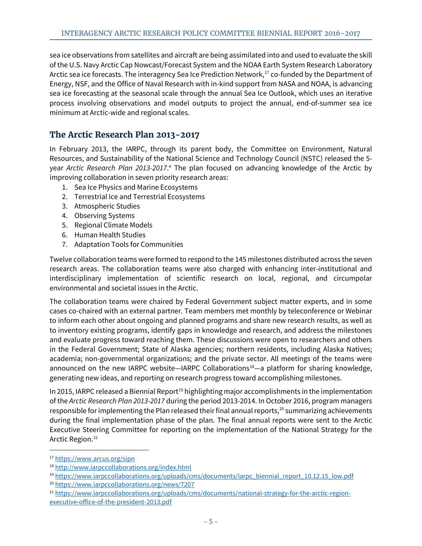sea ice observations from satellites and aircraft are being assimilated into and used to evaluate the skill of the U.S. Navy Arctic Cap Nowcast/Forecast System and the NOAA Earth System Research Laboratory Arctic sea ice forecasts. The interagency Sea Ice Prediction Network, [17](#page-7-0) co-funded by the Department of Energy, NSF, and the Office of Naval Research with in-kind support from NASA and NOAA, is advancing sea ice forecasting at the seasonal scale through the annual Sea Ice Outlook, which uses an iterative process involving observations and model outputs to project the annual, end-of-summer sea ice minimum at Arctic-wide and regional scales.

# **The Arctic Research Plan 2013-2017**

In February 2013, the IARPC, through its parent body, the Committee on Environment, Natural Resources, and Sustainability of the National Science and Technology Council (NSTC) released the 5 year *Arctic Research Plan 2013-2017*[.](#page-3-5) <sup>4</sup> The plan focused on advancing knowledge of the Arctic by improving collaboration in seven priority research areas:

- 1. Sea Ice Physics and Marine Ecosystems
- 2. Terrestrial Ice and Terrestrial Ecosystems
- 3. Atmospheric Studies
- 4. Observing Systems
- 5. Regional Climate Models
- 6. Human Health Studies
- 7. Adaptation Tools for Communities

Twelve collaboration teams were formed to respond to the 145 milestones distributed across the seven research areas. The collaboration teams were also charged with enhancing inter-institutional and interdisciplinary implementation of scientific research on local, regional, and circumpolar environmental and societal issues in the Arctic.

The collaboration teams were chaired by Federal Government subject matter experts, and in some cases co-chaired with an external partner. Team members met monthly by teleconference or Webinar to inform each other about ongoing and planned programs and share new research results, as well as to inventory existing programs, identify gaps in knowledge and research, and address the milestones and evaluate progress toward reaching them. These discussions were open to researchers and others in the Federal Government; State of Alaska agencies; northern residents, including Alaska Natives; academia; non-governmental organizations; and the private sector. All meetings of the teams were announced on the new IARPC website—IARPC Collaborations<sup>[18](#page-7-1)</sup>—a platform for sharing knowledge, generating new ideas, and reporting on research progress toward accomplishing milestones.

In 2015, IARPC released a Biennial Report<sup>[19](#page-7-2)</sup> highlighting major accomplishments in the implementation of the *Arctic Research Plan 2013-2017* during the period 2013-2014. In October 2016, program managers responsible for implementing the Plan released their final annual reports, [20](#page-7-3) summarizing achievements during the final implementation phase of the plan. The final annual reports were sent to the Arctic Executive Steering Committee for reporting on the implementation of the National Strategy for the Arctic Region. [21](#page-7-4)

<span id="page-7-3"></span><sup>20</sup> <https://www.iarpccollaborations.org/news/7207>

<span id="page-7-0"></span> <sup>17</sup> <https://www.arcus.org/sipn>

<span id="page-7-1"></span><sup>18</sup> <http://www.iarpccollaborations.org/index.html>

<span id="page-7-2"></span><sup>&</sup>lt;sup>19</sup> [https://www.iarpccollaborations.org/uploads/cms/documents/iarpc\\_biennial\\_report\\_10.12.15\\_low.pdf](https://www.iarpccollaborations.org/uploads/cms/documents/iarpc_biennial_report_10.12.15_low.pdf)

<span id="page-7-4"></span><sup>21</sup> [https://www.iarpccollaborations.org/uploads/cms/documents/national-strategy-for-the-arctic-region](https://www.iarpccollaborations.org/uploads/cms/documents/national-strategy-for-the-arctic-region-executive-office-of-the-president-2013.pdf)[executive-office-of-the-president-2013.pdf](https://www.iarpccollaborations.org/uploads/cms/documents/national-strategy-for-the-arctic-region-executive-office-of-the-president-2013.pdf)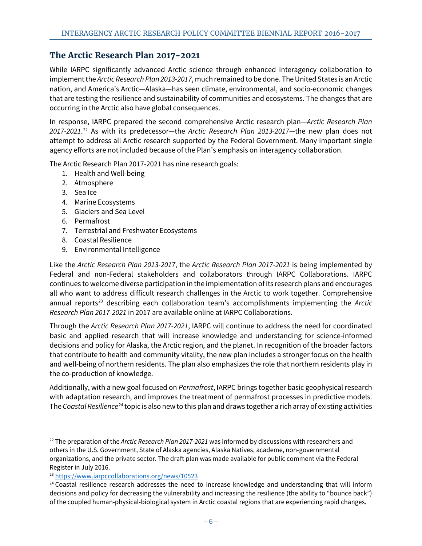# **The Arctic Research Plan 2017-2021**

While IARPC significantly advanced Arctic science through enhanced interagency collaboration to implement the *Arctic Research Plan 2013-2017*, much remained to be done. The United States is an Arctic nation, and America's Arctic—Alaska—has seen climate, environmental, and socio-economic changes that are testing the resilience and sustainability of communities and ecosystems. The changes that are occurring in the Arctic also have global consequences.

In response, IARPC prepared the second comprehensive Arctic research plan—*Arctic Research Plan 2017-2021*. [22](#page-8-0) As with its predecessor—the *Arctic Research Plan 2013-2017—*the new plan does not attempt to address all Arctic research supported by the Federal Government. Many important single agency efforts are not included because of the Plan's emphasis on interagency collaboration.

The Arctic Research Plan 2017-2021 has nine research goals:

- 1. Health and Well-being
- 2. Atmosphere
- 3. Sea Ice
- 4. Marine Ecosystems
- 5. Glaciers and Sea Level
- 6. Permafrost
- 7. Terrestrial and Freshwater Ecosystems
- 8. Coastal Resilience
- 9. Environmental Intelligence

Like the *Arctic Research Plan 2013-2017*, the *Arctic Research Plan 2017-2021* is being implemented by Federal and non-Federal stakeholders and collaborators through IARPC Collaborations. IARPC continues to welcome diverse participation in the implementation of its research plans and encourages all who want to address difficult research challenges in the Arctic to work together. Comprehensive annual reports<sup>[23](#page-8-1)</sup> describing each collaboration team's accomplishments implementing the Arctic *Research Plan 2017-2021* in 2017 are available online at IARPC Collaborations.

Through the *Arctic Research Plan 2017-2021*, IARPC will continue to address the need for coordinated basic and applied research that will increase knowledge and understanding for science-informed decisions and policy for Alaska, the Arctic region, and the planet. In recognition of the broader factors that contribute to health and community vitality, the new plan includes a stronger focus on the health and well-being of northern residents. The plan also emphasizes the role that northern residents play in the co-production of knowledge.

Additionally, with a new goal focused on *Permafrost*, IARPC brings together basic geophysical research with adaptation research, and improves the treatment of permafrost processes in predictive models. The *Coastal Resilience*[24](#page-8-2) topic is also new to this plan and draws together a rich array of existing activities

<span id="page-8-0"></span> <sup>22</sup> The preparation of the *Arctic Research Plan 2017-2021* was informed by discussions with researchers and others in the U.S. Government, State of Alaska agencies, Alaska Natives, academe, non-governmental organizations, and the private sector. The draft plan was made available for public comment via the Federal Register in July 2016.

<span id="page-8-1"></span><sup>&</sup>lt;sup>23</sup> <https://www.iarpccollaborations.org/news/10523>

<span id="page-8-2"></span><sup>&</sup>lt;sup>24</sup> Coastal resilience research addresses the need to increase knowledge and understanding that will inform decisions and policy for decreasing the vulnerability and increasing the resilience (the ability to "bounce back") of the coupled human-physical-biological system in Arctic coastal regions that are experiencing rapid changes.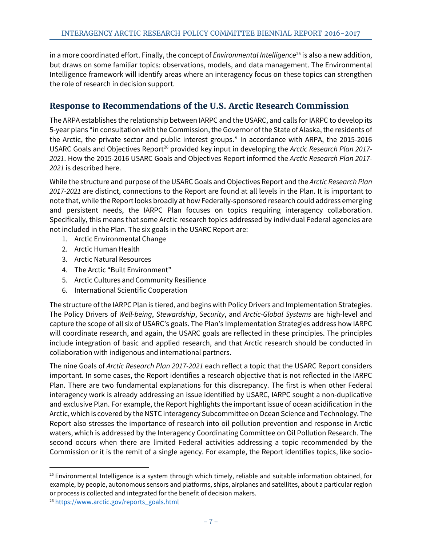in a more coordinated effort. Finally, the concept of *Environmental Intelligence*<sup>[25](#page-9-0)</sup> is also a new addition, but draws on some familiar topics: observations, models, and data management. The Environmental Intelligence framework will identify areas where an interagency focus on these topics can strengthen the role of research in decision support.

# **Response to Recommendations of the U.S. Arctic Research Commission**

The ARPA establishes the relationship between IARPC and the USARC, and calls for IARPC to develop its 5-year plans "in consultation with the Commission, the Governor of the State of Alaska, the residents of the Arctic, the private sector and public interest groups." In accordance with ARPA, the 2015-2016 USARC Goals and Objectives Report<sup>[26](#page-9-1)</sup> provided key input in developing the *Arctic Research Plan 2017-2021*. How the 2015-2016 USARC Goals and Objectives Report informed the *Arctic Research Plan 2017- 2021* is described here.

While the structure and purpose of the USARC Goals and Objectives Report and the *Arctic Research Plan 2017-2021* are distinct, connections to the Report are found at all levels in the Plan. It is important to note that, while the Report looks broadly at how Federally-sponsored research could address emerging and persistent needs, the IARPC Plan focuses on topics requiring interagency collaboration. Specifically, this means that some Arctic research topics addressed by individual Federal agencies are not included in the Plan. The six goals in the USARC Report are:

- 1. Arctic Environmental Change
- 2. Arctic Human Health
- 3. Arctic Natural Resources
- 4. The Arctic "Built Environment"
- 5. Arctic Cultures and Community Resilience
- 6. International Scientific Cooperation

The structure of the IARPC Plan is tiered, and begins with Policy Drivers and Implementation Strategies. The Policy Drivers of *Well-being*, *Stewardship*, *Security*, and *Arctic-Global Systems* are high-level and capture the scope of all six of USARC's goals. The Plan's Implementation Strategies address how IARPC will coordinate research, and again, the USARC goals are reflected in these principles. The principles include integration of basic and applied research, and that Arctic research should be conducted in collaboration with indigenous and international partners.

The nine Goals of *Arctic Research Plan 2017-2021* each reflect a topic that the USARC Report considers important. In some cases, the Report identifies a research objective that is not reflected in the IARPC Plan. There are two fundamental explanations for this discrepancy. The first is when other Federal interagency work is already addressing an issue identified by USARC, IARPC sought a non-duplicative and exclusive Plan. For example, the Report highlights the important issue of ocean acidification in the Arctic, which is covered by the NSTC interagency Subcommittee on Ocean Science and Technology. The Report also stresses the importance of research into oil pollution prevention and response in Arctic waters, which is addressed by the Interagency Coordinating Committee on Oil Pollution Research. The second occurs when there are limited Federal activities addressing a topic recommended by the Commission or it is the remit of a single agency. For example, the Report identifies topics, like socio-

<span id="page-9-0"></span> $25$  Environmental Intelligence is a system through which timely, reliable and suitable information obtained, for example, by people, autonomous sensors and platforms, ships, airplanes and satellites, about a particular region or process is collected and integrated for the benefit of decision makers.

<span id="page-9-1"></span><sup>&</sup>lt;sup>26</sup> [https://www.arctic.gov/reports\\_goals.html](https://www.arctic.gov/reports_goals.html)